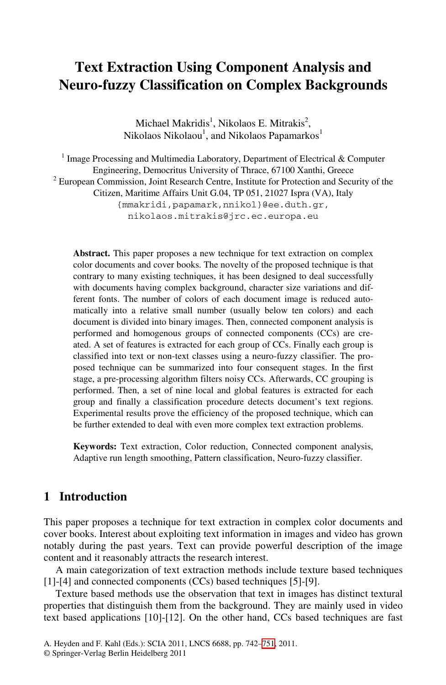# **Text Extraction Using Component Analysis and Neuro-fuzzy Classification on Complex Backgrounds**

Michael Makridis<sup>1</sup>, Nikolaos E. Mitrakis<sup>2</sup>, Nikolaos Nikolaou $^{\rm l}$ , and Nikolaos Papamarkos $^{\rm l}$ 

<sup>1</sup> Image Processing and Multimedia Laboratory, Department of Electrical & Computer Engineering, Democritus University of Thrace, 67100 Xanthi, Greece 2 <sup>2</sup> European Commission, Joint Research Centre, Institute for Protection and Security of the Citizen, Maritime Affairs Unit G.04, TP 051, 21027 Ispra (VA), Italy {mmakridi,papamark,nnikol}@ee.duth.gr, nikolaos.mitrakis@jrc.ec.europa.eu

**Abstract.** This paper proposes a new technique for text extraction on complex color documents and cover books. The novelty of the proposed technique is that contrary to many existing techniques, it has been designed to deal successfully with documents having complex background, character size variations and different fonts. The number of colors of each document image is reduced automatically into a relative small number (usually below ten colors) and each document is divided into binary images. Then, connected component analysis is performed and homogenous groups of connected components (CCs) are created. A set of features is extracted for each group of CCs. Finally each group is classified into text or non-text classes using a neuro-fuzzy classifier. The proposed technique can be summarized into four consequent stages. In the first stage, a pre-processing algorithm filters noisy CCs. Afterwards, CC grouping is performed. Then, a set of nine local and global features is extracted for each group and finally a classification procedure detects document's text regions. Experimental results prove the efficiency of the proposed technique, which can be further extended to deal with even more complex text extraction problems.

**Keywords:** Text extraction, Color reduction, Connected component analysis, Adaptive run length smoothing, Pattern classification, Neuro-fuzzy classifier.

### **1 Introduction**

This paper proposes a technique for text extraction in complex color documents and cover books. Interest about exploiting text information in images and video has grown notably during the past years. [Tex](#page-9-0)t can provide powerful description of the image content and it reasonably attracts the research interest.

A main categorization of text extraction methods include texture based techniques [1]-[4] and connected components (CCs) based techniques [5]-[9].

Texture based methods use the observation that text in images has distinct textural properties that distinguish them from the background. They are mainly used in video text based applications [10]-[12]. On the other hand, CCs based techniques are fast

A. Heyden and F. Kahl (Eds.): SCIA 2011, LNCS 6688, pp. 742–751, 2011.

<sup>©</sup> Springer-Verlag Berlin Heidelberg 2011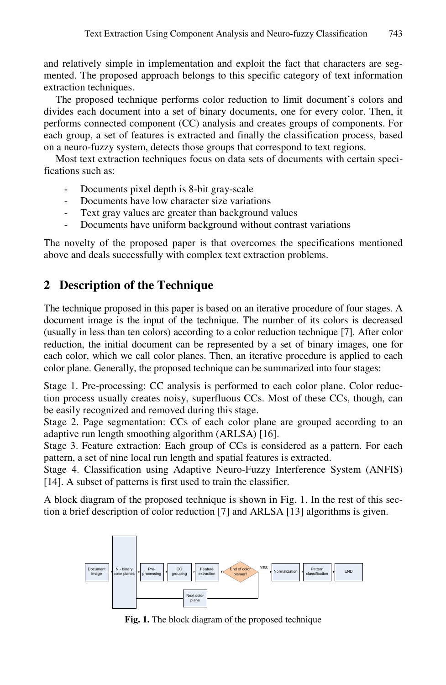and relatively simple in implementation and exploit the fact that characters are segmented. The proposed approach belongs to this specific category of text information extraction techniques.

The proposed technique performs color reduction to limit document's colors and divides each document into a set of binary documents, one for every color. Then, it performs connected component (CC) analysis and creates groups of components. For each group, a set of features is extracted and finally the classification process, based on a neuro-fuzzy system, detects those groups that correspond to text regions.

Most text extraction techniques focus on data sets of documents with certain specifications such as:

- Documents pixel depth is 8-bit gray-scale
- Documents have low character size variations
- Text gray values are greater than background values
- Documents have uniform background without contrast variations

The novelty of the proposed paper is that overcomes the specifications mentioned above and deals successfully with complex text extraction problems.

### **2 Description of the Technique**

The technique proposed in this paper is based on an iterative procedure of four stages. A document image is the input of the technique. The number of its colors is decreased (usually in less than ten colors) according to a color reduction technique [7]. After color reduction, the initial document can be represented by a set of binary images, one for each color, which we call color planes. Then, an iterative procedure is applied to each color plane. Generally, the proposed technique can be summarized into four stages:

Stage 1. Pre-processing: CC analysis is performed to each color plane. Color reduction process usually creates noisy, superfluous CCs. Most of these CCs, though, can be easily recognized and removed during this stage.

Stage 2. Page segmentation: CCs of each color plane are grouped according to an adaptive run length smoothing algorithm (ARLSA) [16].

Stage 3. Feature extraction: Each group of CCs is considered as a pattern. For each pattern, a set of nine local run length and spatial features is extracted.

Stage 4. Classification using Adaptive Neuro-Fuzzy Interference System (ANFIS) [14]. A subset of patterns is first used to train the classifier.

A block diagram of the proposed technique is shown in Fig. 1. In the rest of this section a brief description of color reduction [7] and ARLSA [13] algorithms is given.



**Fig. 1.** The block diagram of the proposed technique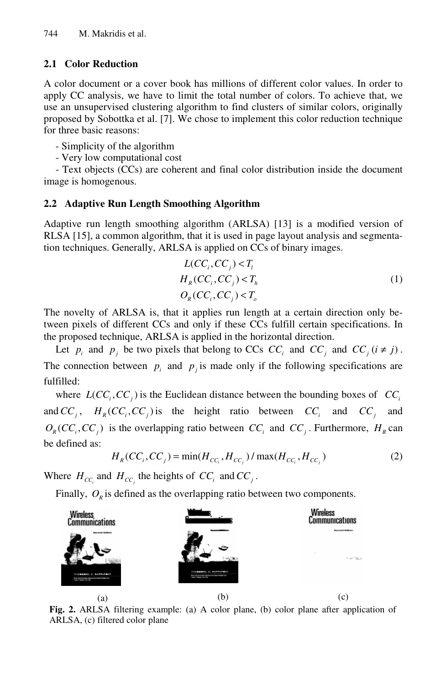#### **2.1 Color Reduction**

A color document or a cover book has millions of different color values. In order to apply CC analysis, we have to limit the total number of colors. To achieve that, we use an unsupervised clustering algorithm to find clusters of similar colors, originally proposed by Sobottka et al. [7]. We chose to implement this color reduction technique for three basic reasons:

- Simplicity of the algorithm

- Very low computational cost

- Text objects (CCs) are coherent and final color distribution inside the document image is homogenous.

#### **2.2 Adaptive Run Length Smoothing Algorithm**

Adaptive run length smoothing algorithm (ARLSA) [13] is a modified version of RLSA [15], a common algorithm, that it is used in page layout analysis and segmentation techniques. Generally, ARLSA is applied on CCs of binary images.

$$
L(CC_i, CC_j) < T_i
$$
  
\n
$$
H_R(CC_i, CC_j) < T_h
$$
  
\n
$$
O_R(CC_i, CC_j) < T_o
$$
\n(1)

The novelty of ARLSA is, that it applies run length at a certain direction only between pixels of different CCs and only if these CCs fulfill certain specifications. In the proposed technique, ARLSA is applied in the horizontal direction.

Let  $p_i$  and  $p_j$  be two pixels that belong to CCs  $CC_i$  and  $CC_j$  and  $CC_j$   $(i \neq j)$ . The connection between  $p_i$  and  $p_j$  is made only if the following specifications are fulfilled:

where  $L(CC_i, CC_j)$  is the Euclidean distance between the bounding boxes of  $CC_i$ and  $CC_i$ ,  $H_R(CC_i, CC_j)$  is the height ratio between  $CC_i$  and  $CC_j$  and  $O_R(CC_i, CC_i)$  is the overlapping ratio between  $CC_i$  and  $CC_j$ . Furthermore,  $H_R$  can be defined as:

$$
H_R(CC_i, CC_j) = \min(H_{cc_i}, H_{cc_j}) / \max(H_{cc_i}, H_{cc_j})
$$
 (2)

Where  $H_{cc}$  and  $H_{cc}$  the heights of  $CC_i$  and  $CC_j$ .

Finally,  $O<sub>R</sub>$  is defined as the overlapping ratio between two components.



**Fig. 2.** ARLSA filtering example: (a) A color plane, (b) color plane after application of ARLSA, (c) filtered color plane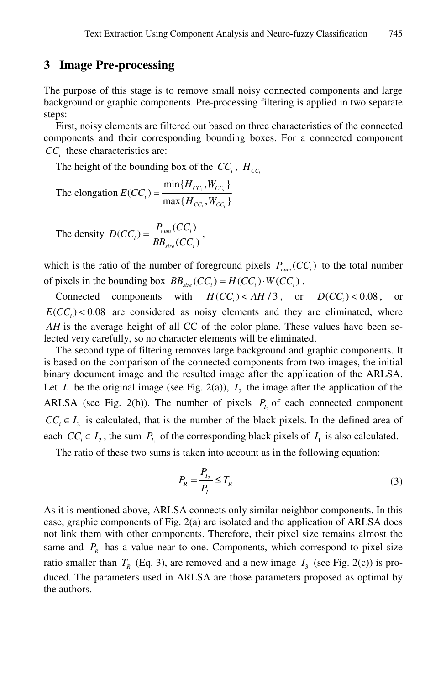### **3 Image Pre-processing**

The purpose of this stage is to remove small noisy connected components and large background or graphic components. Pre-processing filtering is applied in two separate steps:

First, noisy elements are filtered out based on three characteristics of the connected components and their corresponding bounding boxes. For a connected component *CCi* these characteristics are:

The height of the bounding box of the  $CC_i$ ,  $H_{CC}$ 

The elongation 
$$
E(CC_i) = \frac{\min\{H_{cc_i}, W_{cc_i}\}}{\max\{H_{cc_i}, W_{cc_i}\}}
$$

The density  $D(CC_i) = \frac{P_{num}(CC_i)}{BB_{size}(CC_i)}$  $D(CC_i) = \frac{P_{num}(CC_i)}{BB_{size}(CC_i)},$ 

which is the ratio of the number of foreground pixels  $P_{num}(CC_i)$  to the total number of pixels in the bounding box  $BB_{size}( CC_i ) = H(CC_i) \cdot W(CC_i)$ .

Connected components with  $H(CC_i) < AH/3$ , or  $D(CC_i) < 0.08$ , or  $E(CC<sub>i</sub>)$  < 0.08 are considered as noisy elements and they are eliminated, where *AH* is the average height of all CC of the color plane. These values have been selected very carefully, so no character elements will be eliminated.

The second type of filtering removes large background and graphic components. It is based on the comparison of the connected components from two images, the initial binary document image and the resulted image after the application of the ARLSA. Let  $I_1$  be the original image (see Fig. 2(a)),  $I_2$  the image after the application of the ARLSA (see Fig. 2(b)). The number of pixels  $P<sub>L</sub>$  of each connected component  $CC_i \in I_2$  is calculated, that is the number of the black pixels. In the defined area of each  $CC_i \in I_2$ , the sum  $P_{I_1}$  of the corresponding black pixels of  $I_1$  is also calculated.

The ratio of these two sums is taken into account as in the following equation:

$$
P_R = \frac{P_{I_2}}{P_{I_1}} \le T_R
$$
\n(3)

As it is mentioned above, ARLSA connects only similar neighbor components. In this case, graphic components of Fig. 2(a) are isolated and the application of ARLSA does not link them with other components. Therefore, their pixel size remains almost the same and  $P_R$  has a value near to one. Components, which correspond to pixel size ratio smaller than  $T_R$  (Eq. 3), are removed and a new image  $I_3$  (see Fig. 2(c)) is produced. The parameters used in ARLSA are those parameters proposed as optimal by the authors.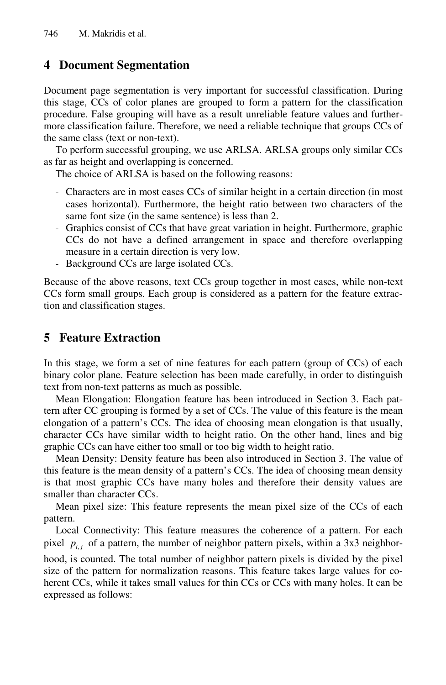## **4 Document Segmentation**

Document page segmentation is very important for successful classification. During this stage, CCs of color planes are grouped to form a pattern for the classification procedure. False grouping will have as a result unreliable feature values and furthermore classification failure. Therefore, we need a reliable technique that groups CCs of the same class (text or non-text).

To perform successful grouping, we use ARLSA. ARLSA groups only similar CCs as far as height and overlapping is concerned.

The choice of ARLSA is based on the following reasons:

- Characters are in most cases CCs of similar height in a certain direction (in most cases horizontal). Furthermore, the height ratio between two characters of the same font size (in the same sentence) is less than 2.
- Graphics consist of CCs that have great variation in height. Furthermore, graphic CCs do not have a defined arrangement in space and therefore overlapping measure in a certain direction is very low.
- Background CCs are large isolated CCs.

Because of the above reasons, text CCs group together in most cases, while non-text CCs form small groups. Each group is considered as a pattern for the feature extraction and classification stages.

### **5 Feature Extraction**

In this stage, we form a set of nine features for each pattern (group of CCs) of each binary color plane. Feature selection has been made carefully, in order to distinguish text from non-text patterns as much as possible.

Mean Elongation: Elongation feature has been introduced in Section 3. Each pattern after CC grouping is formed by a set of CCs. The value of this feature is the mean elongation of a pattern's CCs. The idea of choosing mean elongation is that usually, character CCs have similar width to height ratio. On the other hand, lines and big graphic CCs can have either too small or too big width to height ratio.

Mean Density: Density feature has been also introduced in Section 3. The value of this feature is the mean density of a pattern's CCs. The idea of choosing mean density is that most graphic CCs have many holes and therefore their density values are smaller than character CCs.

Mean pixel size: This feature represents the mean pixel size of the CCs of each pattern.

Local Connectivity: This feature measures the coherence of a pattern. For each pixel  $p_{i,j}$  of a pattern, the number of neighbor pattern pixels, within a 3x3 neighborhood, is counted. The total number of neighbor pattern pixels is divided by the pixel size of the pattern for normalization reasons. This feature takes large values for coherent CCs, while it takes small values for thin CCs or CCs with many holes. It can be expressed as follows: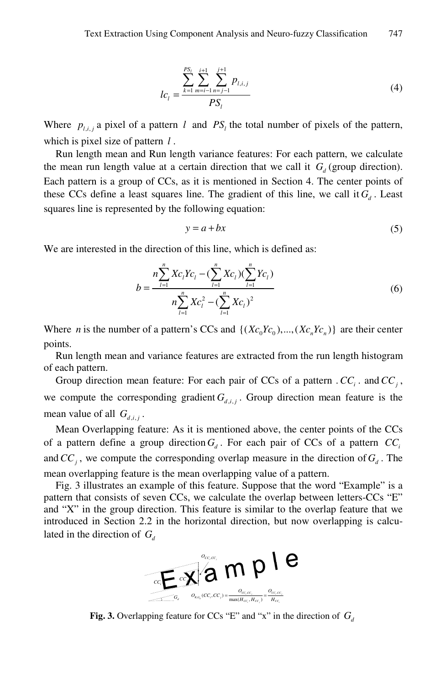$$
lc_{l} = \frac{\sum_{k=1}^{PS_{l}} \sum_{m=i-1}^{i+1} \sum_{n=j-1}^{j+1} p_{l,i,j}}{PS_{l}}
$$
(4)

Where  $p_{i,j}$  a pixel of a pattern *l* and  $PS_i$  the total number of pixels of the pattern, which is pixel size of pattern *l* .

Run length mean and Run length variance features: For each pattern, we calculate the mean run length value at a certain direction that we call it  $G_d$  (group direction). Each pattern is a group of CCs, as it is mentioned in Section 4. The center points of these CCs define a least squares line. The gradient of this line, we call it  $G_d$ . Least squares line is represented by the following equation:

$$
y = a + bx \tag{5}
$$

We are interested in the direction of this line, which is defined as:

$$
b = \frac{n \sum_{l=1}^{n} Xc_l Yc_l - (\sum_{l=1}^{n} Xc_l)(\sum_{l=1}^{n} Yc_l)}{n \sum_{l=1}^{n} Xc_l^2 - (\sum_{l=1}^{n} Xc_l)^2}
$$
(6)

Where *n* is the number of a pattern's CCs and  $\{(Xc_0Xc_0),..., (Xc_nXc_n)\}\)$  are their center points.

Run length mean and variance features are extracted from the run length histogram of each pattern.

Group direction mean feature: For each pair of CCs of a pattern  $\cdot CC_i$ . and  $CC_j$ , we compute the corresponding gradient  $G_{d,i,j}$ . Group direction mean feature is the mean value of all  $G_{d,i,i}$ .

Mean Overlapping feature: As it is mentioned above, the center points of the CCs of a pattern define a group direction  $G_d$ . For each pair of CCs of a pattern  $CC_i$ and  $CC<sub>i</sub>$ , we compute the corresponding overlap measure in the direction of  $G<sub>d</sub>$ . The mean overlapping feature is the mean overlapping value of a pattern.

Fig. 3 illustrates an example of this feature. Suppose that the word "Example" is a pattern that consists of seven CCs, we calculate the overlap between letters-CCs "E" and "X" in the group direction. This feature is similar to the overlap feature that we introduced in Section 2.2 in the horizontal direction, but now overlapping is calculated in the direction of  $G_d$ 



**Fig. 3.** Overlapping feature for CCs "E" and "x" in the direction of  $G_d$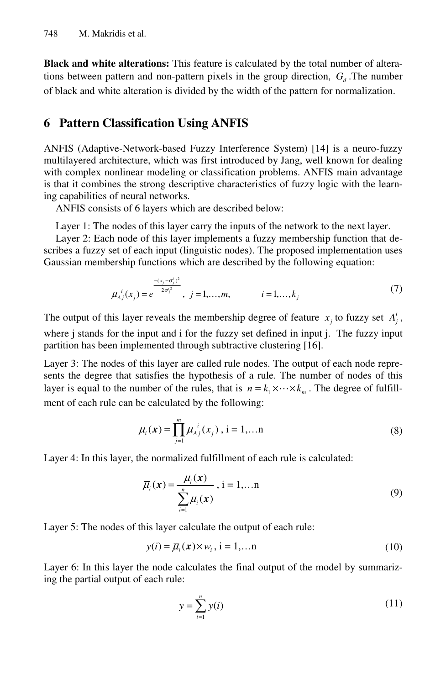**Black and white alterations:** This feature is calculated by the total number of alterations between pattern and non-pattern pixels in the group direction,  $G_d$ . The number of black and white alteration is divided by the width of the pattern for normalization.

### **6 Pattern Classification Using ANFIS**

ANFIS (Adaptive-Network-based Fuzzy Interference System) [14] is a neuro-fuzzy multilayered architecture, which was first introduced by Jang, well known for dealing with complex nonlinear modeling or classification problems. ANFIS main advantage is that it combines the strong descriptive characteristics of fuzzy logic with the learning capabilities of neural networks.

ANFIS consists of 6 layers which are described below:

Layer 1: The nodes of this layer carry the inputs of the network to the next layer.

Layer 2: Each node of this layer implements a fuzzy membership function that describes a fuzzy set of each input (linguistic nodes). The proposed implementation uses Gaussian membership functions which are described by the following equation:

$$
\mu_{A_j}^{\ i}(x_j) = e^{-\frac{-(x_j - \sigma_j')^2}{2\sigma_j^2}}, \quad j = 1, \dots, m, \qquad i = 1, \dots, k_j \tag{7}
$$

The output of this layer reveals the membership degree of feature  $x_i$  to fuzzy set  $A_i^i$ , where j stands for the input and i for the fuzzy set defined in input j. The fuzzy input partition has been implemented through subtractive clustering [16].

Layer 3: The nodes of this layer are called rule nodes. The output of each node represents the degree that satisfies the hypothesis of a rule. The number of nodes of this layer is equal to the number of the rules, that is  $n = k_1 \times \cdots \times k_m$ . The degree of fulfillment of each rule can be calculated by the following:

$$
\mu_i(\mathbf{x}) = \prod_{j=1}^m \mu_{A_j}^{i}(x_j), i = 1,...n
$$
\n(8)

Layer 4: In this layer, the normalized fulfillment of each rule is calculated:

$$
\overline{\mu}_i(\mathbf{x}) = \frac{\mu_i(\mathbf{x})}{\sum_{i=1}^n \mu_i(\mathbf{x})}, \quad i = 1, \dots n
$$
\n(9)

Layer 5: The nodes of this layer calculate the output of each rule:

$$
y(i) = \overline{\mu}_i(\mathbf{x}) \times w_i, \, i = 1, \dots n \tag{10}
$$

Layer 6: In this layer the node calculates the final output of the model by summarizing the partial output of each rule:

$$
y = \sum_{i=1}^{n} y(i)
$$
 (11)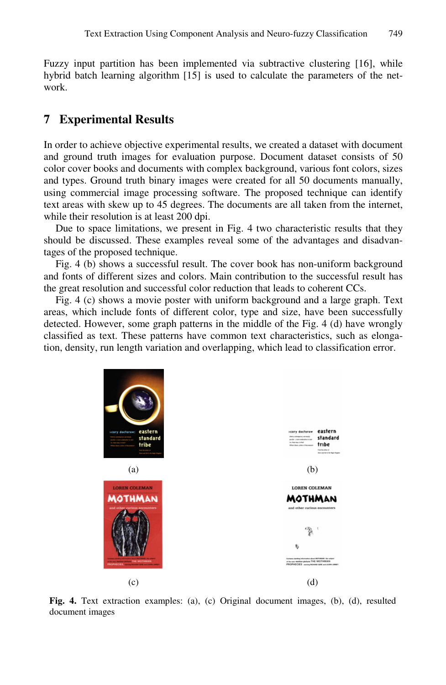Fuzzy input partition has been implemented via subtractive clustering [16], while hybrid batch learning algorithm [15] is used to calculate the parameters of the network.

#### **7 Experimental Results**

In order to achieve objective experimental results, we created a dataset with document and ground truth images for evaluation purpose. Document dataset consists of 50 color cover books and documents with complex background, various font colors, sizes and types. Ground truth binary images were created for all 50 documents manually, using commercial image processing software. The proposed technique can identify text areas with skew up to 45 degrees. The documents are all taken from the internet, while their resolution is at least 200 dpi.

Due to space limitations, we present in Fig. 4 two characteristic results that they should be discussed. These examples reveal some of the advantages and disadvantages of the proposed technique.

Fig. 4 (b) shows a successful result. The cover book has non-uniform background and fonts of different sizes and colors. Main contribution to the successful result has the great resolution and successful color reduction that leads to coherent CCs.

Fig. 4 (c) shows a movie poster with uniform background and a large graph. Text areas, which include fonts of different color, type and size, have been successfully detected. However, some graph patterns in the middle of the Fig. 4 (d) have wrongly classified as text. These patterns have common text characteristics, such as elongation, density, run length variation and overlapping, which lead to classification error.



**Fig. 4.** Text extraction examples: (a), (c) Original document images, (b), (d), resulted document images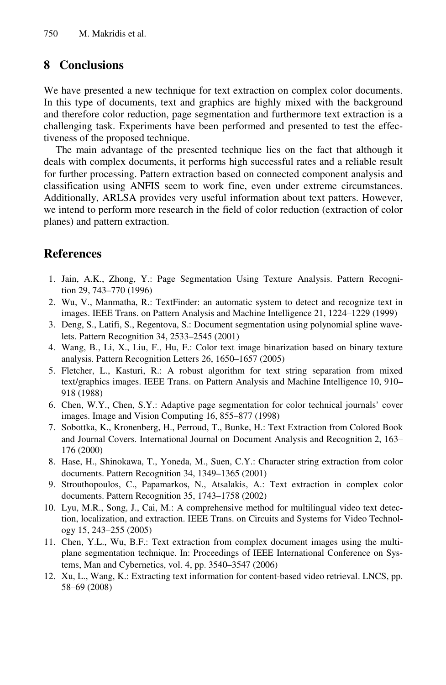# **8 Conclusions**

We have presented a new technique for text extraction on complex color documents. In this type of documents, text and graphics are highly mixed with the background and therefore color reduction, page segmentation and furthermore text extraction is a challenging task. Experiments have been performed and presented to test the effectiveness of the proposed technique.

The main advantage of the presented technique lies on the fact that although it deals with complex documents, it performs high successful rates and a reliable result for further processing. Pattern extraction based on connected component analysis and classification using ANFIS seem to work fine, even under extreme circumstances. Additionally, ARLSA provides very useful information about text patters. However, we intend to perform more research in the field of color reduction (extraction of color planes) and pattern extraction.

# **References**

- 1. Jain, A.K., Zhong, Y.: Page Segmentation Using Texture Analysis. Pattern Recognition 29, 743–770 (1996)
- 2. Wu, V., Manmatha, R.: TextFinder: an automatic system to detect and recognize text in images. IEEE Trans. on Pattern Analysis and Machine Intelligence 21, 1224–1229 (1999)
- 3. Deng, S., Latifi, S., Regentova, S.: Document segmentation using polynomial spline wavelets. Pattern Recognition 34, 2533–2545 (2001)
- 4. Wang, B., Li, X., Liu, F., Hu, F.: Color text image binarization based on binary texture analysis. Pattern Recognition Letters 26, 1650–1657 (2005)
- 5. Fletcher, L., Kasturi, R.: A robust algorithm for text string separation from mixed text/graphics images. IEEE Trans. on Pattern Analysis and Machine Intelligence 10, 910– 918 (1988)
- 6. Chen, W.Y., Chen, S.Y.: Adaptive page segmentation for color technical journals' cover images. Image and Vision Computing 16, 855–877 (1998)
- 7. Sobottka, K., Kronenberg, H., Perroud, T., Bunke, H.: Text Extraction from Colored Book and Journal Covers. International Journal on Document Analysis and Recognition 2, 163– 176 (2000)
- 8. Hase, H., Shinokawa, T., Yoneda, M., Suen, C.Y.: Character string extraction from color documents. Pattern Recognition 34, 1349–1365 (2001)
- 9. Strouthopoulos, C., Papamarkos, N., Atsalakis, A.: Text extraction in complex color documents. Pattern Recognition 35, 1743–1758 (2002)
- 10. Lyu, M.R., Song, J., Cai, M.: A comprehensive method for multilingual video text detection, localization, and extraction. IEEE Trans. on Circuits and Systems for Video Technology 15, 243–255 (2005)
- 11. Chen, Y.L., Wu, B.F.: Text extraction from complex document images using the multiplane segmentation technique. In: Proceedings of IEEE International Conference on Systems, Man and Cybernetics, vol. 4, pp. 3540–3547 (2006)
- 12. Xu, L., Wang, K.: Extracting text information for content-based video retrieval. LNCS, pp. 58–69 (2008)